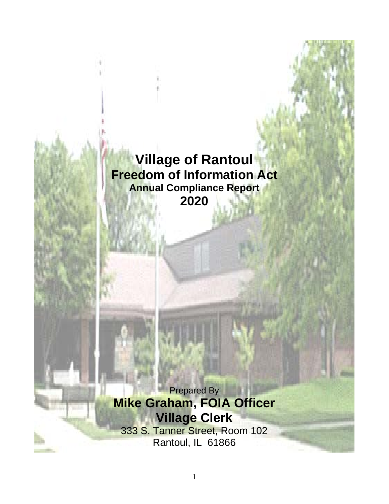# **Village of Rantoul Freedom of Information Act Annual Compliance Report 2020**

**Prepared By Mike Graham, FOIA Officer Village Clerk**

333 S. Tanner Street, Room 102 Rantoul, IL 61866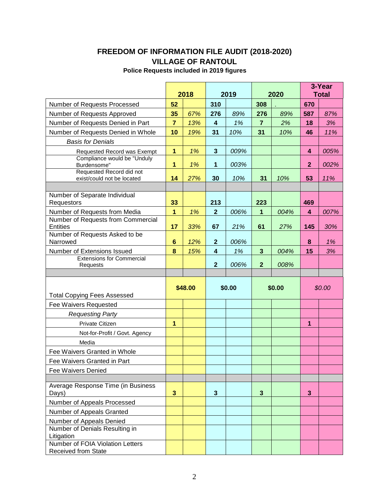## **FREEDOM OF INFORMATION FILE AUDIT (2018-2020) VILLAGE OF RANTOUL**

## **Police Requests included in 2019 figures**

|                                                   |                                 | 2018    |                         | 2019   |                | 2020   | 3-Year<br><b>Total</b> |        |
|---------------------------------------------------|---------------------------------|---------|-------------------------|--------|----------------|--------|------------------------|--------|
| Number of Requests Processed                      | 52                              |         | 310                     |        | 308            |        | 670                    |        |
| Number of Requests Approved                       | 35                              | 67%     | 276                     | 89%    | 276            | 89%    | 587                    | 87%    |
| Number of Requests Denied in Part                 | $\overline{7}$                  | 13%     | 4                       | 1%     | $\overline{7}$ | 2%     | 18                     | 3%     |
| Number of Requests Denied in Whole                | 10                              | 19%     | 31                      | 10%    | 31             | 10%    | 46                     | 11%    |
| <b>Basis for Denials</b>                          |                                 |         |                         |        |                |        |                        |        |
| Requested Record was Exempt                       | 1<br>1%<br>$\mathbf{3}$<br>009% |         |                         |        |                |        | 4                      | 005%   |
| Compliance would be "Unduly                       |                                 |         |                         |        |                |        |                        |        |
| Burdensome"<br>Requested Record did not           | $\overline{1}$                  | 1%      | 1                       | 003%   |                |        | $\overline{2}$         | 002%   |
| exist/could not be located                        | 14                              | 27%     | 30                      | 10%    | 31             | 10%    | 53                     | 11%    |
|                                                   |                                 |         |                         |        |                |        |                        |        |
| Number of Separate Individual<br>Requestors       | 33                              |         | 213                     |        | 223            |        | 469                    |        |
| Number of Requests from Media                     | $\mathbf{1}$                    | 1%      | $\overline{2}$          | 006%   | 1              | 004%   | 4                      | 007%   |
| Number of Requests from Commercial                |                                 |         |                         |        |                |        |                        |        |
| <b>Entities</b><br>Number of Requests Asked to be | 17                              | 33%     | 67                      | 21%    | 61             | 27%    | 145                    | 30%    |
| Narrowed                                          | $6\phantom{1}$                  | 12%     | $\mathbf{2}$            | 006%   |                |        | 8                      | 1%     |
| Number of Extensions Issued                       | 8                               | 15%     | $\overline{\mathbf{4}}$ | 1%     | $\mathbf{3}$   | 004%   | 15                     | 3%     |
| <b>Extensions for Commercial</b>                  |                                 |         |                         |        |                |        |                        |        |
| Requests                                          |                                 |         | $\mathbf{2}$            | 006%   | $\overline{2}$ | 008%   |                        |        |
|                                                   |                                 |         |                         |        |                |        |                        |        |
|                                                   |                                 | \$48.00 |                         | \$0.00 |                | \$0.00 |                        | \$0.00 |
| <b>Total Copying Fees Assessed</b>                |                                 |         |                         |        |                |        |                        |        |
| Fee Waivers Requested                             |                                 |         |                         |        |                |        |                        |        |
| <b>Requesting Party</b>                           |                                 |         |                         |        |                |        |                        |        |
| <b>Private Citizen</b>                            | 1                               |         |                         |        |                |        | 1                      |        |
| Not-for-Profit / Govt. Agency                     |                                 |         |                         |        |                |        |                        |        |
| Media                                             |                                 |         |                         |        |                |        |                        |        |
| Fee Waivers Granted in Whole                      |                                 |         |                         |        |                |        |                        |        |
| Fee Waivers Granted in Part                       |                                 |         |                         |        |                |        |                        |        |
| <b>Fee Waivers Denied</b>                         |                                 |         |                         |        |                |        |                        |        |
| Average Response Time (in Business<br>Days)       | 3                               |         | $\mathbf{3}$            |        | 3              |        | 3                      |        |
| Number of Appeals Processed                       |                                 |         |                         |        |                |        |                        |        |
| Number of Appeals Granted                         |                                 |         |                         |        |                |        |                        |        |
| Number of Appeals Denied                          |                                 |         |                         |        |                |        |                        |        |
| Number of Denials Resulting in                    |                                 |         |                         |        |                |        |                        |        |
| Litigation<br>Number of FOIA Violation Letters    |                                 |         |                         |        |                |        |                        |        |
|                                                   |                                 |         |                         |        |                |        |                        |        |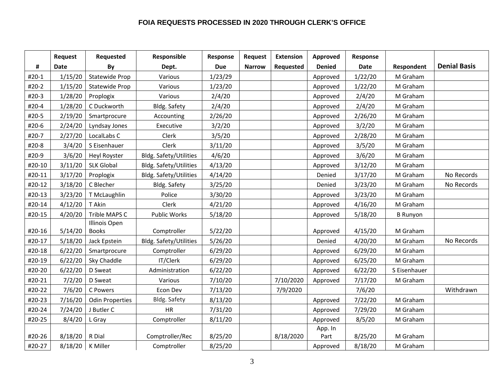#### **FOIA REQUESTS PROCESSED IN 2020 THROUGH CLERK'S OFFICE**

|        | Request     | Requested              | Responsible                   | Response   | <b>Request</b> | <b>Extension</b> | Approved      | Response    |                 |                     |
|--------|-------------|------------------------|-------------------------------|------------|----------------|------------------|---------------|-------------|-----------------|---------------------|
| #      | <b>Date</b> | By                     | Dept.                         | <b>Due</b> | <b>Narrow</b>  | Requested        | <b>Denied</b> | <b>Date</b> | Respondent      | <b>Denial Basis</b> |
| #20-1  | 1/15/20     | Statewide Prop         | Various                       | 1/23/29    |                |                  | Approved      | 1/22/20     | M Graham        |                     |
| #20-2  | 1/15/20     | Statewide Prop         | Various                       | 1/23/20    |                |                  | Approved      | 1/22/20     | M Graham        |                     |
| #20-3  | 1/28/20     | Proplogix              | Various                       | 2/4/20     |                |                  | Approved      | 2/4/20      | M Graham        |                     |
| #20-4  | 1/28/20     | C Duckworth            | Bldg. Safety                  | 2/4/20     |                |                  | Approved      | 2/4/20      | M Graham        |                     |
| #20-5  | 2/19/20     | Smartprocure           | Accounting                    | 2/26/20    |                |                  | Approved      | 2/26/20     | M Graham        |                     |
| #20-6  | 2/24/20     | Lyndsay Jones          | Executive                     | 3/2/20     |                |                  | Approved      | 3/2/20      | M Graham        |                     |
| #20-7  | 2/27/20     | LocalLabs C            | Clerk                         | 3/5/20     |                |                  | Approved      | 2/28/20     | M Graham        |                     |
| #20-8  | 3/4/20      | S Eisenhauer           | Clerk                         | 3/11/20    |                |                  | Approved      | 3/5/20      | M Graham        |                     |
| #20-9  | 3/6/20      | <b>Heyl Royster</b>    | <b>Bldg. Safety/Utilities</b> | 4/6/20     |                |                  | Approved      | 3/6/20      | M Graham        |                     |
| #20-10 | 3/11/20     | <b>SLK Global</b>      | <b>Bldg. Safety/Utilities</b> | 4/13/20    |                |                  | Approved      | 3/12/20     | M Graham        |                     |
| #20-11 | 3/17/20     | Proplogix              | Bldg. Safety/Utilities        | 4/14/20    |                |                  | Denied        | 3/17/20     | M Graham        | No Records          |
| #20-12 | 3/18/20     | C Blecher              | Bldg. Safety                  | 3/25/20    |                |                  | Denied        | 3/23/20     | M Graham        | No Records          |
| #20-13 | 3/23/20     | T McLaughlin           | Police                        | 3/30/20    |                |                  | Approved      | 3/23/20     | M Graham        |                     |
| #20-14 | 4/12/20     | T Akin                 | Clerk                         | 4/21/20    |                |                  | Approved      | 4/16/20     | M Graham        |                     |
| #20-15 | 4/20/20     | Trible MAPS C          | Public Works                  | 5/18/20    |                |                  | Approved      | 5/18/20     | <b>B</b> Runyon |                     |
|        |             | <b>Illinois Open</b>   |                               |            |                |                  |               |             |                 |                     |
| #20-16 | 5/14/20     | <b>Books</b>           | Comptroller                   | 5/22/20    |                |                  | Approved      | 4/15/20     | M Graham        |                     |
| #20-17 | 5/18/20     | Jack Epstein           | Bldg. Safety/Utilities        | 5/26/20    |                |                  | Denied        | 4/20/20     | M Graham        | No Records          |
| #20-18 | 6/22/20     | Smartprocure           | Comptroller                   | 6/29/20    |                |                  | Approved      | 6/29/20     | M Graham        |                     |
| #20-19 | 6/22/20     | Sky Chaddle            | IT/Clerk                      | 6/29/20    |                |                  | Approved      | 6/25/20     | M Graham        |                     |
| #20-20 | 6/22/20     | D Sweat                | Administration                | 6/22/20    |                |                  | Approved      | 6/22/20     | S Eisenhauer    |                     |
| #20-21 | 7/2/20      | D Sweat                | Various                       | 7/10/20    |                | 7/10/2020        | Approved      | 7/17/20     | M Graham        |                     |
| #20-22 | 7/6/20      | C Powers               | Econ Dev                      | 7/13/20    |                | 7/9/2020         |               | 7/6/20      |                 | Withdrawn           |
| #20-23 | 7/16/20     | <b>Odin Properties</b> | Bldg. Safety                  | 8/13/20    |                |                  | Approved      | 7/22/20     | M Graham        |                     |
| #20-24 | 7/24/20     | J Butler C             | HR                            | 7/31/20    |                |                  | Approved      | 7/29/20     | M Graham        |                     |
| #20-25 | 8/4/20      | L Gray                 | Comptroller                   | 8/11/20    |                |                  | Approved      | 8/5/20      | M Graham        |                     |
|        |             |                        |                               |            |                |                  | App. In       |             |                 |                     |
| #20-26 | 8/18/20     | R Dial                 | Comptroller/Rec               | 8/25/20    |                | 8/18/2020        | Part          | 8/25/20     | M Graham        |                     |
| #20-27 | 8/18/20     | K Miller               | Comptroller                   | 8/25/20    |                |                  | Approved      | 8/18/20     | M Graham        |                     |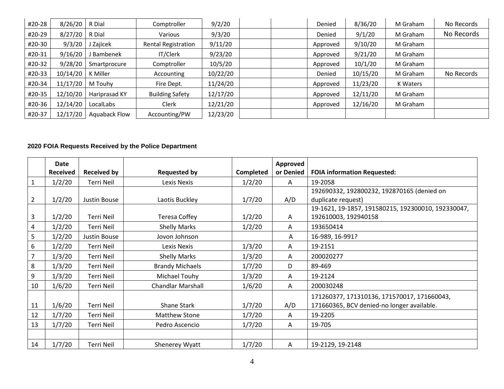| #20-28 | 8/26/20  | R Dial        | Comptroller                | 9/2/20   | Denied   | 8/36/20  | M Graham | No Records |
|--------|----------|---------------|----------------------------|----------|----------|----------|----------|------------|
| #20-29 | 8/27/20  | R Dial        | Various                    | 9/3/20   | Denied   | 9/1/20   | M Graham | No Records |
| #20-30 | 9/3/20   | Zajicek       | <b>Rental Registration</b> | 9/11/20  | Approved | 9/10/20  | M Graham |            |
| #20-31 | 9/16/20  | Bambenek      | IT/Clerk                   | 9/23/20  | Approved | 9/21/20  | M Graham |            |
| #20-32 | 9/28/20  | Smartprocure  | Comptroller                | 10/5/20  | Approved | 10/1/20  | M Graham |            |
| #20-33 | 10/14/20 | K Miller      | Accounting                 | 10/22/20 | Denied   | 10/15/20 | M Graham | No Records |
| #20-34 | 11/17/20 | M Touhy       | Fire Dept.                 | 11/24/20 | Approved | 11/23/20 | K Waters |            |
| #20-35 | 12/10/20 | Hariprasad KY | <b>Building Safety</b>     | 12/17/20 | Approved | 12/11/20 | M Graham |            |
| #20-36 | 12/14/20 | LocalLabs     | Clerk                      | 12/21/20 | Approved | 12/16/20 | M Graham |            |
| #20-37 | 12/17/20 | Aquaback Flow | Accounting/PW              | 12/23/20 |          |          |          |            |

## **2020 FOIA Requests Received by the Police Department**

|                | Date<br><b>Received</b> | <b>Received by</b> | <b>Requested by</b>      | Completed | Approved<br>or Denied | <b>FOIA information Requested:</b>                 |
|----------------|-------------------------|--------------------|--------------------------|-----------|-----------------------|----------------------------------------------------|
| $\mathbf{1}$   | 1/2/20                  | <b>Terri Neil</b>  | Lexis Nexis              | 1/2/20    | A                     | 19-2058                                            |
|                |                         |                    |                          |           |                       | 192690332, 192800232, 192870165 (denied on         |
| $\overline{2}$ | 1/2/20                  | Justin Bouse       | Laotis Buckley           | 1/7/20    | A/D                   | duplicate request)                                 |
|                |                         |                    |                          |           |                       | 19-1621, 19-1857, 191580215, 192300010, 192330047, |
| 3              | 1/2/20                  | Terri Neil         | <b>Teresa Coffey</b>     | 1/2/20    | A                     | 192610003, 192940158                               |
| 4              | 1/2/20                  | Terri Neil         | <b>Shelly Marks</b>      | 1/2/20    | A                     | 193650414                                          |
| 5              | 1/2/20                  | Justin Bouse       | Jovon Johnson            |           | A                     | 16-989, 16-991?                                    |
| 6              | 1/2/20                  | Terri Neil         | Lexis Nexis              | 1/3/20    | A                     | 19-2151                                            |
| 7              | 1/3/20                  | Terri Neil         | <b>Shelly Marks</b>      | 1/3/20    | Α                     | 200020277                                          |
| 8              | 1/3/20                  | Terri Neil         | <b>Brandy Michaels</b>   | 1/7/20    | D                     | 89-469                                             |
| 9              | 1/3/20                  | Terri Neil         | Michael Touhy            | 1/3/20    | Α                     | 19-2124                                            |
| 10             | 1/6/20                  | Terri Neil         | <b>Chandlar Marshall</b> | 1/6/20    | Α                     | 200030248                                          |
|                |                         |                    |                          |           |                       | 171260377, 171310136, 171570017, 171660043,        |
| 11             | 1/6/20                  | Terri Neil         | <b>Shane Stark</b>       | 1/7/20    | A/D                   | 171660365, BCV denied-no longer available.         |
| 12             | 1/7/20                  | Terri Neil         | <b>Matthew Stone</b>     | 1/7/20    | Α                     | 19-2205                                            |
| 13             | 1/7/20                  | Terri Neil         | Pedro Ascencio           | 1/7/20    | Α                     | 19-705                                             |
|                |                         |                    |                          |           |                       |                                                    |
| 14             | 1/7/20                  | Terri Neil         | Shenerey Wyatt           | 1/7/20    | Α                     | 19-2129, 19-2148                                   |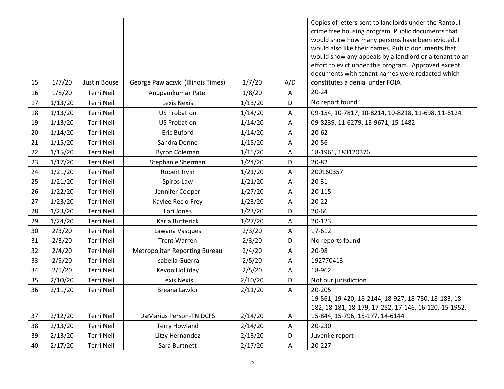|    |         |                   |                                   |         |     | Copies of letters sent to landlords under the Rantoul  |
|----|---------|-------------------|-----------------------------------|---------|-----|--------------------------------------------------------|
|    |         |                   |                                   |         |     | crime free housing program. Public documents that      |
|    |         |                   |                                   |         |     | would show how many persons have been evicted. I       |
|    |         |                   |                                   |         |     | would also like their names. Public documents that     |
|    |         |                   |                                   |         |     | would show any appeals by a landlord or a tenant to an |
|    |         |                   |                                   |         |     | effort to evict under this program. Approved except    |
|    |         |                   |                                   |         |     | documents with tenant names were redacted which        |
| 15 | 1/7/20  | Justin Bouse      | George Pawlaczyk (Illinois Times) | 1/7/20  | A/D | constitutes a denial under FOIA                        |
| 16 | 1/8/20  | Terri Neil        | Anupamkumar Patel                 | 1/8/20  | A   | $20 - 24$                                              |
| 17 | 1/13/20 | Terri Neil        | Lexis Nexis                       | 1/13/20 | D   | No report found                                        |
| 18 | 1/13/20 | Terri Neil        | <b>US Probation</b>               | 1/14/20 | Α   | 09-154, 10-7817, 10-8214, 10-8218, 11-698, 11-6124     |
| 19 | 1/13/20 | Terri Neil        | <b>US Probation</b>               | 1/14/20 | A   | 09-8239, 11-6279, 13-9671, 15-1482                     |
| 20 | 1/14/20 | <b>Terri Neil</b> | Eric Buford                       | 1/14/20 | A   | $20 - 62$                                              |
| 21 | 1/15/20 | Terri Neil        | Sandra Denne                      | 1/15/20 | A   | 20-56                                                  |
| 22 | 1/15/20 | Terri Neil        | <b>Byron Coleman</b>              | 1/15/20 | A   | 18-1961, 183120376                                     |
| 23 | 1/17/20 | Terri Neil        | Stephanie Sherman                 | 1/24/20 | D   | $20 - 82$                                              |
| 24 | 1/21/20 | <b>Terri Neil</b> | Robert Irvin                      | 1/21/20 | A   | 200160357                                              |
| 25 | 1/21/20 | <b>Terri Neil</b> | Spiros Law                        | 1/21/20 | A   | 20-31                                                  |
| 26 | 1/22/20 | Terri Neil        | Jennifer Cooper                   | 1/27/20 | A   | 20-115                                                 |
| 27 | 1/23/20 | Terri Neil        | Kaylee Recio Frey                 | 1/23/20 | A   | $20 - 22$                                              |
| 28 | 1/23/20 | Terri Neil        | Lori Jones                        | 1/23/20 | D   | 20-66                                                  |
| 29 | 1/24/20 | <b>Terri Neil</b> | Karla Butterick                   | 1/27/20 | A   | 20-123                                                 |
| 30 | 2/3/20  | Terri Neil        | Lawana Vasques                    | 2/3/20  | A   | 17-612                                                 |
| 31 | 2/3/20  | Terri Neil        | <b>Trent Warren</b>               | 2/3/20  | D   | No reports found                                       |
| 32 | 2/4/20  | Terri Neil        | Metropolitan Reporting Bureau     | 2/4/20  | Α   | 20-98                                                  |
| 33 | 2/5/20  | <b>Terri Neil</b> | Isabella Guerra                   | 2/5/20  | A   | 192770413                                              |
| 34 | 2/5/20  | Terri Neil        | Kevon Holliday                    | 2/5/20  | Α   | 18-962                                                 |
| 35 | 2/10/20 | Terri Neil        | Lexis Nexis                       | 2/10/20 | D   | Not our jurisdiction                                   |
| 36 | 2/11/20 | Terri Neil        | Breana Lawlor                     | 2/11/20 | Α   | 20-205                                                 |
|    |         |                   |                                   |         |     | 19-561, 19-420, 18-2144, 18-927, 18-780, 18-183, 18-   |
|    |         |                   |                                   |         |     | 182, 18-181, 18-179, 17-252, 17-146, 16-120, 15-1952,  |
| 37 | 2/12/20 | Terri Neil        | <b>DaMarius Person-TN DCFS</b>    | 2/14/20 | A   | 15-844, 15-796, 15-177, 14-6144                        |
| 38 | 2/13/20 | Terri Neil        | <b>Terry Howland</b>              | 2/14/20 | Α   | 20-230                                                 |
| 39 | 2/13/20 | Terri Neil        | Litzy Hernandez                   | 2/13/20 | D   | Juvenile report                                        |
| 40 | 2/17/20 | <b>Terri Neil</b> | Sara Burtnett                     | 2/17/20 | A   | 20-227                                                 |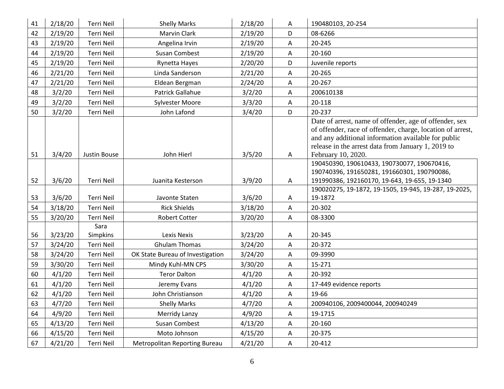| 41 | 2/18/20 | Terri Neil        | <b>Shelly Marks</b>              | 2/18/20 | A                         | 190480103, 20-254                                                                                                                                                                                                                                       |
|----|---------|-------------------|----------------------------------|---------|---------------------------|---------------------------------------------------------------------------------------------------------------------------------------------------------------------------------------------------------------------------------------------------------|
| 42 | 2/19/20 | Terri Neil        | <b>Marvin Clark</b>              | 2/19/20 | D                         | 08-6266                                                                                                                                                                                                                                                 |
| 43 | 2/19/20 | Terri Neil        | Angelina Irvin                   | 2/19/20 | Α                         | 20-245                                                                                                                                                                                                                                                  |
| 44 | 2/19/20 | Terri Neil        | <b>Susan Combest</b>             | 2/19/20 | Α                         | 20-160                                                                                                                                                                                                                                                  |
| 45 | 2/19/20 | <b>Terri Neil</b> | Rynetta Hayes                    | 2/20/20 | D                         | Juvenile reports                                                                                                                                                                                                                                        |
| 46 | 2/21/20 | <b>Terri Neil</b> | Linda Sanderson                  | 2/21/20 | Α                         | 20-265                                                                                                                                                                                                                                                  |
| 47 | 2/21/20 | Terri Neil        | Eldean Bergman                   | 2/24/20 | A                         | 20-267                                                                                                                                                                                                                                                  |
| 48 | 3/2/20  | <b>Terri Neil</b> | <b>Patrick Gallahue</b>          | 3/2/20  | Α                         | 200610138                                                                                                                                                                                                                                               |
| 49 | 3/2/20  | Terri Neil        | <b>Sylvester Moore</b>           | 3/3/20  | Α                         | 20-118                                                                                                                                                                                                                                                  |
| 50 | 3/2/20  | <b>Terri Neil</b> | John Lafond                      | 3/4/20  | D                         | 20-237                                                                                                                                                                                                                                                  |
| 51 | 3/4/20  | Justin Bouse      | John Hierl                       | 3/5/20  | A                         | Date of arrest, name of offender, age of offender, sex<br>of offender, race of offender, charge, location of arrest,<br>and any additional information available for public<br>release in the arrest data from January 1, 2019 to<br>February 10, 2020. |
| 52 | 3/6/20  | <b>Terri Neil</b> | Juanita Kesterson                | 3/9/20  | A                         | 190450390, 190610433, 190730077, 190670416,<br>190740396, 191650281, 191660301, 190790086,<br>191990386, 192160170, 19-643, 19-655, 19-1340                                                                                                             |
|    |         |                   |                                  |         |                           | 190020275, 19-1872, 19-1505, 19-945, 19-287, 19-2025,                                                                                                                                                                                                   |
| 53 | 3/6/20  | Terri Neil        | Javonte Staten                   | 3/6/20  | Α                         | 19-1872                                                                                                                                                                                                                                                 |
| 54 | 3/18/20 | <b>Terri Neil</b> | <b>Rick Shields</b>              | 3/18/20 | Α                         | 20-302                                                                                                                                                                                                                                                  |
| 55 | 3/20/20 | Terri Neil        | <b>Robert Cotter</b>             | 3/20/20 | Α                         | 08-3300                                                                                                                                                                                                                                                 |
| 56 | 3/23/20 | Sara<br>Simpkins  | <b>Lexis Nexis</b>               | 3/23/20 | A                         | 20-345                                                                                                                                                                                                                                                  |
| 57 | 3/24/20 | <b>Terri Neil</b> | <b>Ghulam Thomas</b>             | 3/24/20 | $\boldsymbol{\mathsf{A}}$ | 20-372                                                                                                                                                                                                                                                  |
| 58 | 3/24/20 | Terri Neil        | OK State Bureau of Investigation | 3/24/20 | A                         | 09-3990                                                                                                                                                                                                                                                 |
| 59 | 3/30/20 | Terri Neil        | Mindy Kuhl-MN CPS                | 3/30/20 | A                         | 15-271                                                                                                                                                                                                                                                  |
| 60 | 4/1/20  | Terri Neil        | <b>Teror Dalton</b>              | 4/1/20  | Α                         | 20-392                                                                                                                                                                                                                                                  |
| 61 | 4/1/20  | <b>Terri Neil</b> | Jeremy Evans                     | 4/1/20  | $\mathsf A$               | 17-449 evidence reports                                                                                                                                                                                                                                 |
| 62 | 4/1/20  | Terri Neil        | John Christianson                | 4/1/20  | Α                         | 19-66                                                                                                                                                                                                                                                   |
| 63 | 4/7/20  | <b>Terri Neil</b> | <b>Shelly Marks</b>              | 4/7/20  | Α                         | 200940106, 2009400044, 200940249                                                                                                                                                                                                                        |
| 64 | 4/9/20  | <b>Terri Neil</b> | <b>Merridy Lanzy</b>             | 4/9/20  | A                         | 19-1715                                                                                                                                                                                                                                                 |
| 65 | 4/13/20 | <b>Terri Neil</b> | <b>Susan Combest</b>             | 4/13/20 | $\mathsf{A}$              | 20-160                                                                                                                                                                                                                                                  |
| 66 | 4/15/20 | <b>Terri Neil</b> | Moto Johnson                     | 4/15/20 | A                         | 20-375                                                                                                                                                                                                                                                  |
| 67 | 4/21/20 | Terri Neil        | Metropolitan Reporting Bureau    | 4/21/20 | Α                         | 20-412                                                                                                                                                                                                                                                  |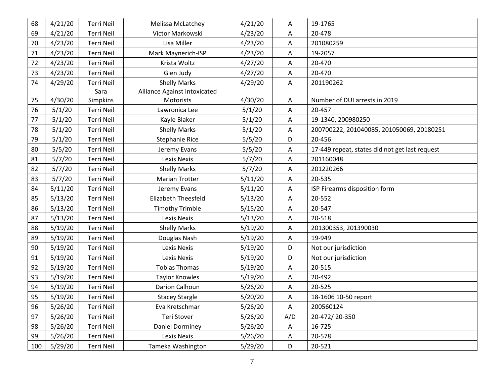| 68 | 4/21/20 | Terri Neil        | <b>Melissa McLatchey</b>     | 4/21/20 | A   | 19-1765                                        |
|----|---------|-------------------|------------------------------|---------|-----|------------------------------------------------|
| 69 | 4/21/20 | Terri Neil        | Victor Markowski             | 4/23/20 | A   | 20-478                                         |
| 70 | 4/23/20 | <b>Terri Neil</b> | Lisa Miller                  | 4/23/20 | Α   | 201080259                                      |
| 71 | 4/23/20 | <b>Terri Neil</b> | Mark Maynerich-ISP           | 4/23/20 | Α   | 19-2057                                        |
| 72 | 4/23/20 | <b>Terri Neil</b> | Krista Woltz                 | 4/27/20 | Α   | 20-470                                         |
| 73 | 4/23/20 | <b>Terri Neil</b> | Glen Judy                    | 4/27/20 | Α   | 20-470                                         |
| 74 | 4/29/20 | Terri Neil        | <b>Shelly Marks</b>          | 4/29/20 | Α   | 201190262                                      |
|    |         | Sara              | Alliance Against Intoxicated |         |     |                                                |
| 75 | 4/30/20 | Simpkins          | Motorists                    | 4/30/20 | A   | Number of DUI arrests in 2019                  |
| 76 | 5/1/20  | Terri Neil        | Lawronica Lee                | 5/1/20  | Α   | 20-457                                         |
| 77 | 5/1/20  | <b>Terri Neil</b> | Kayle Blaker                 | 5/1/20  | Α   | 19-1340, 200980250                             |
| 78 | 5/1/20  | Terri Neil        | <b>Shelly Marks</b>          | 5/1/20  | Α   | 200700222, 201040085, 201050069, 20180251      |
| 79 | 5/1/20  | <b>Terri Neil</b> | <b>Stephanie Rice</b>        | 5/5/20  | D   | 20-456                                         |
| 80 | 5/5/20  | <b>Terri Neil</b> | Jeremy Evans                 | 5/5/20  | Α   | 17-449 repeat, states did not get last request |
| 81 | 5/7/20  | Terri Neil        | <b>Lexis Nexis</b>           | 5/7/20  | A   | 201160048                                      |
| 82 | 5/7/20  | <b>Terri Neil</b> | <b>Shelly Marks</b>          | 5/7/20  | Α   | 201220266                                      |
| 83 | 5/7/20  | <b>Terri Neil</b> | <b>Marian Trotter</b>        | 5/11/20 | Α   | 20-535                                         |
| 84 | 5/11/20 | <b>Terri Neil</b> | Jeremy Evans                 | 5/11/20 | Α   | ISP Firearms disposition form                  |
| 85 | 5/13/20 | Terri Neil        | Elizabeth Theesfeld          | 5/13/20 | Α   | 20-552                                         |
| 86 | 5/13/20 | Terri Neil        | <b>Timothy Trimble</b>       | 5/15/20 | Α   | 20-547                                         |
| 87 | 5/13/20 | Terri Neil        | Lexis Nexis                  | 5/13/20 | Α   | 20-518                                         |
| 88 | 5/19/20 | Terri Neil        | <b>Shelly Marks</b>          | 5/19/20 | Α   | 201300353, 201390030                           |
| 89 | 5/19/20 | <b>Terri Neil</b> | Douglas Nash                 | 5/19/20 | Α   | 19-949                                         |
| 90 | 5/19/20 | <b>Terri Neil</b> | Lexis Nexis                  | 5/19/20 | D   | Not our jurisdiction                           |
| 91 | 5/19/20 | <b>Terri Neil</b> | Lexis Nexis                  | 5/19/20 | D   | Not our jurisdiction                           |
| 92 | 5/19/20 | Terri Neil        | <b>Tobias Thomas</b>         | 5/19/20 | Α   | 20-515                                         |
| 93 | 5/19/20 | Terri Neil        | <b>Taylor Knowles</b>        | 5/19/20 | A   | 20-492                                         |
| 94 | 5/19/20 | <b>Terri Neil</b> | Darion Calhoun               | 5/26/20 | Α   | 20-525                                         |
| 95 | 5/19/20 | Terri Neil        | <b>Stacey Stargle</b>        | 5/20/20 | Α   | 18-1606 10-50 report                           |
| 96 | 5/26/20 | Terri Neil        | Eva Kretschmar               | 5/26/20 | A   | 200560124                                      |
| 97 | 5/26/20 | Terri Neil        | Teri Stover                  | 5/26/20 | A/D | 20-472/20-350                                  |
| 98 | 5/26/20 | Terri Neil        | Daniel Dorminey              | 5/26/20 | A   | 16-725                                         |
|    |         |                   |                              |         |     |                                                |
| 99 | 5/26/20 | Terri Neil        | Lexis Nexis                  | 5/26/20 | A   | 20-578                                         |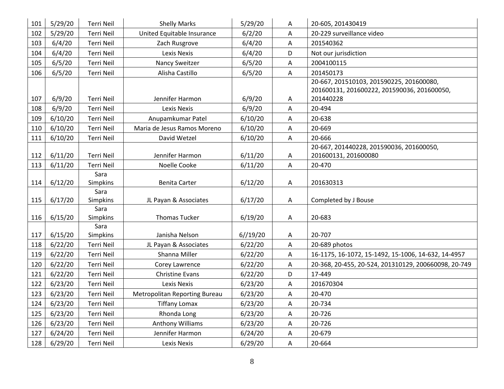| 101 | 5/29/20 | <b>Terri Neil</b>       | <b>Shelly Marks</b>           | 5/29/20  | Α                         | 20-605, 201430419                                    |
|-----|---------|-------------------------|-------------------------------|----------|---------------------------|------------------------------------------------------|
| 102 | 5/29/20 | Terri Neil              | United Equitable Insurance    | 6/2/20   | Α                         | 20-229 surveillance video                            |
| 103 | 6/4/20  | Terri Neil              | Zach Rusgrove                 | 6/4/20   | A                         | 201540362                                            |
| 104 | 6/4/20  | <b>Terri Neil</b>       | <b>Lexis Nexis</b>            | 6/4/20   | D                         | Not our jurisdiction                                 |
| 105 | 6/5/20  | Terri Neil              | Nancy Sweitzer                | 6/5/20   | Α                         | 2004100115                                           |
| 106 | 6/5/20  | Terri Neil              | Alisha Castillo               | 6/5/20   | A                         | 201450173                                            |
|     |         |                         |                               |          |                           | 20-667, 201510103, 201590225, 201600080,             |
|     |         |                         |                               |          |                           | 201600131, 201600222, 201590036, 201600050,          |
| 107 | 6/9/20  | <b>Terri Neil</b>       | Jennifer Harmon               | 6/9/20   | Α                         | 201440228                                            |
| 108 | 6/9/20  | <b>Terri Neil</b>       | <b>Lexis Nexis</b>            | 6/9/20   | A                         | 20-494                                               |
| 109 | 6/10/20 | <b>Terri Neil</b>       | Anupamkumar Patel             | 6/10/20  | Α                         | 20-638                                               |
| 110 | 6/10/20 | <b>Terri Neil</b>       | Maria de Jesus Ramos Moreno   | 6/10/20  | Α                         | 20-669                                               |
| 111 | 6/10/20 | Terri Neil              | David Wetzel                  | 6/10/20  | $\mathsf{A}$              | 20-666                                               |
|     |         |                         |                               |          |                           | 20-667, 201440228, 201590036, 201600050,             |
| 112 | 6/11/20 | <b>Terri Neil</b>       | Jennifer Harmon               | 6/11/20  | A                         | 201600131, 201600080                                 |
| 113 | 6/11/20 | Terri Neil              | Noelle Cooke                  | 6/11/20  | A                         | 20-470                                               |
|     |         | Sara                    |                               |          |                           |                                                      |
| 114 | 6/12/20 | Simpkins                | <b>Benita Carter</b>          | 6/12/20  | Α                         | 201630313                                            |
|     |         | Sara                    |                               |          |                           |                                                      |
| 115 | 6/17/20 | <b>Simpkins</b>         | JL Payan & Associates         | 6/17/20  | A                         | Completed by J Bouse                                 |
|     |         | Sara                    |                               |          |                           |                                                      |
| 116 | 6/15/20 | Simpkins                | <b>Thomas Tucker</b>          | 6/19/20  | A                         | 20-683                                               |
| 117 | 6/15/20 | Sara<br><b>Simpkins</b> | Janisha Nelson                | 6//19/20 |                           | 20-707                                               |
|     |         | <b>Terri Neil</b>       |                               |          | A                         |                                                      |
| 118 | 6/22/20 |                         | JL Payan & Associates         | 6/22/20  | $\mathsf A$               | 20-689 photos                                        |
| 119 | 6/22/20 | Terri Neil              | Shanna Miller                 | 6/22/20  | Α                         | 16-1175, 16-1072, 15-1492, 15-1006, 14-632, 14-4957  |
| 120 | 6/22/20 | Terri Neil              | Corey Lawrence                | 6/22/20  | A                         | 20-368, 20-455, 20-524, 201310129, 200660098, 20-749 |
| 121 | 6/22/20 | Terri Neil              | <b>Christine Evans</b>        | 6/22/20  | D                         | 17-449                                               |
| 122 | 6/23/20 | Terri Neil              | <b>Lexis Nexis</b>            | 6/23/20  | $\boldsymbol{\mathsf{A}}$ | 201670304                                            |
| 123 | 6/23/20 | Terri Neil              | Metropolitan Reporting Bureau | 6/23/20  | A                         | 20-470                                               |
| 124 | 6/23/20 | Terri Neil              | <b>Tiffany Lomax</b>          | 6/23/20  | Α                         | 20-734                                               |
| 125 | 6/23/20 | Terri Neil              | Rhonda Long                   | 6/23/20  | Α                         | 20-726                                               |
| 126 | 6/23/20 | Terri Neil              | <b>Anthony Williams</b>       | 6/23/20  | A                         | 20-726                                               |
| 127 | 6/24/20 | Terri Neil              | Jennifer Harmon               | 6/24/20  | Α                         | 20-679                                               |
| 128 | 6/29/20 | Terri Neil              | <b>Lexis Nexis</b>            | 6/29/20  | A                         | 20-664                                               |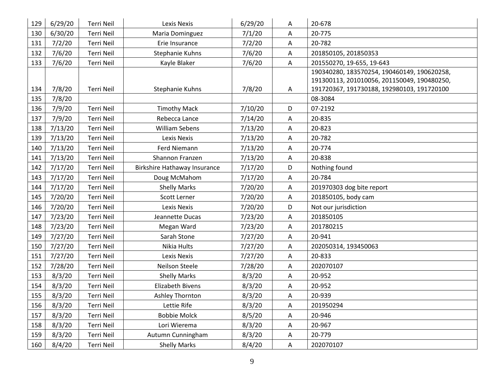| 129 | 6/29/20 | Terri Neil        | <b>Lexis Nexis</b>                  | 6/29/20 | A            | 20-678                                      |
|-----|---------|-------------------|-------------------------------------|---------|--------------|---------------------------------------------|
| 130 | 6/30/20 | <b>Terri Neil</b> | Maria Dominguez                     | 7/1/20  | Α            | 20-775                                      |
| 131 | 7/2/20  | <b>Terri Neil</b> | Erie Insurance                      | 7/2/20  | Α            | 20-782                                      |
| 132 | 7/6/20  | Terri Neil        | Stephanie Kuhns                     | 7/6/20  | A            | 201850105, 201850353                        |
| 133 | 7/6/20  | <b>Terri Neil</b> | Kayle Blaker                        | 7/6/20  | Α            | 201550270, 19-655, 19-643                   |
|     |         |                   |                                     |         |              | 190340280, 183570254, 190460149, 190620258, |
|     |         |                   |                                     |         |              | 191300113, 201010056, 201150049, 190480250, |
| 134 | 7/8/20  | <b>Terri Neil</b> | Stephanie Kuhns                     | 7/8/20  | Α            | 191720367, 191730188, 192980103, 191720100  |
| 135 | 7/8/20  |                   |                                     |         |              | 08-3084                                     |
| 136 | 7/9/20  | Terri Neil        | <b>Timothy Mack</b>                 | 7/10/20 | D            | 07-2192                                     |
| 137 | 7/9/20  | <b>Terri Neil</b> | Rebecca Lance                       | 7/14/20 | Α            | 20-835                                      |
| 138 | 7/13/20 | Terri Neil        | <b>William Sebens</b>               | 7/13/20 | Α            | 20-823                                      |
| 139 | 7/13/20 | Terri Neil        | <b>Lexis Nexis</b>                  | 7/13/20 | Α            | 20-782                                      |
| 140 | 7/13/20 | <b>Terri Neil</b> | Ferd Niemann                        | 7/13/20 | Α            | 20-774                                      |
| 141 | 7/13/20 | <b>Terri Neil</b> | Shannon Franzen                     | 7/13/20 | Α            | 20-838                                      |
| 142 | 7/17/20 | Terri Neil        | <b>Birkshire Hathaway Insurance</b> | 7/17/20 | D            | Nothing found                               |
| 143 | 7/17/20 | <b>Terri Neil</b> | Doug McMahom                        | 7/17/20 | Α            | 20-784                                      |
| 144 | 7/17/20 | <b>Terri Neil</b> | <b>Shelly Marks</b>                 | 7/20/20 | Α            | 201970303 dog bite report                   |
| 145 | 7/20/20 | Terri Neil        | Scott Lerner                        | 7/20/20 | Α            | 201850105, body cam                         |
| 146 | 7/20/20 | <b>Terri Neil</b> | <b>Lexis Nexis</b>                  | 7/20/20 | D            | Not our jurisdiction                        |
| 147 | 7/23/20 | <b>Terri Neil</b> | Jeannette Ducas                     | 7/23/20 | Α            | 201850105                                   |
| 148 | 7/23/20 | <b>Terri Neil</b> | Megan Ward                          | 7/23/20 | Α            | 201780215                                   |
| 149 | 7/27/20 | Terri Neil        | Sarah Stone                         | 7/27/20 | A            | 20-941                                      |
| 150 | 7/27/20 | Terri Neil        | Nikia Hults                         | 7/27/20 | A            | 202050314, 193450063                        |
| 151 | 7/27/20 | <b>Terri Neil</b> | <b>Lexis Nexis</b>                  | 7/27/20 | Α            | 20-833                                      |
| 152 | 7/28/20 | <b>Terri Neil</b> | Neilson Steele                      | 7/28/20 | Α            | 202070107                                   |
| 153 | 8/3/20  | <b>Terri Neil</b> | <b>Shelly Marks</b>                 | 8/3/20  | Α            | 20-952                                      |
| 154 | 8/3/20  | <b>Terri Neil</b> | <b>Elizabeth Bivens</b>             | 8/3/20  | Α            | 20-952                                      |
| 155 | 8/3/20  | Terri Neil        | Ashley Thornton                     | 8/3/20  | Α            | 20-939                                      |
| 156 | 8/3/20  | Terri Neil        | Lettie Rife                         | 8/3/20  | Α            | 201950294                                   |
| 157 | 8/3/20  | Terri Neil        | <b>Bobbie Molck</b>                 | 8/5/20  | Α            | 20-946                                      |
| 158 | 8/3/20  | Terri Neil        | Lori Wierema                        | 8/3/20  | Α            | 20-967                                      |
| 159 | 8/3/20  | <b>Terri Neil</b> | Autumn Cunningham                   | 8/3/20  | Α            | 20-779                                      |
| 160 | 8/4/20  | Terri Neil        | <b>Shelly Marks</b>                 | 8/4/20  | $\mathsf{A}$ | 202070107                                   |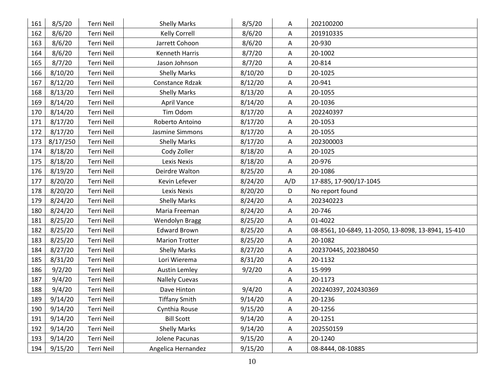| 161 | 8/5/20   | Terri Neil        | <b>Shelly Marks</b>   | 8/5/20  | Α            | 202100200                                           |
|-----|----------|-------------------|-----------------------|---------|--------------|-----------------------------------------------------|
| 162 | 8/6/20   | Terri Neil        | <b>Kelly Correll</b>  | 8/6/20  | A            | 201910335                                           |
| 163 | 8/6/20   | Terri Neil        | Jarrett Cohoon        | 8/6/20  | Α            | 20-930                                              |
| 164 | 8/6/20   | <b>Terri Neil</b> | <b>Kenneth Harris</b> | 8/7/20  | Α            | 20-1002                                             |
| 165 | 8/7/20   | Terri Neil        | Jason Johnson         | 8/7/20  | Α            | 20-814                                              |
| 166 | 8/10/20  | Terri Neil        | <b>Shelly Marks</b>   | 8/10/20 | D            | 20-1025                                             |
| 167 | 8/12/20  | Terri Neil        | Constance Rdzak       | 8/12/20 | А            | 20-941                                              |
| 168 | 8/13/20  | Terri Neil        | <b>Shelly Marks</b>   | 8/13/20 | Α            | 20-1055                                             |
| 169 | 8/14/20  | <b>Terri Neil</b> | <b>April Vance</b>    | 8/14/20 | A            | 20-1036                                             |
| 170 | 8/14/20  | <b>Terri Neil</b> | Tim Odom              | 8/17/20 | Α            | 202240397                                           |
| 171 | 8/17/20  | Terri Neil        | Roberto Antoino       | 8/17/20 | Α            | 20-1053                                             |
| 172 | 8/17/20  | Terri Neil        | Jasmine Simmons       | 8/17/20 | Α            | 20-1055                                             |
| 173 | 8/17/250 | Terri Neil        | <b>Shelly Marks</b>   | 8/17/20 | Α            | 202300003                                           |
| 174 | 8/18/20  | Terri Neil        | Cody Zoller           | 8/18/20 | A            | 20-1025                                             |
| 175 | 8/18/20  | Terri Neil        | <b>Lexis Nexis</b>    | 8/18/20 | Α            | 20-976                                              |
| 176 | 8/19/20  | <b>Terri Neil</b> | Deirdre Walton        | 8/25/20 | Α            | 20-1086                                             |
| 177 | 8/20/20  | Terri Neil        | Kevin Lefever         | 8/24/20 | A/D          | 17-885, 17-900/17-1045                              |
| 178 | 8/20/20  | Terri Neil        | <b>Lexis Nexis</b>    | 8/20/20 | D            | No report found                                     |
| 179 | 8/24/20  | Terri Neil        | <b>Shelly Marks</b>   | 8/24/20 | A            | 202340223                                           |
| 180 | 8/24/20  | Terri Neil        | Maria Freeman         | 8/24/20 | Α            | 20-746                                              |
| 181 | 8/25/20  | Terri Neil        | Wendolyn Bragg        | 8/25/20 | A            | 01-4022                                             |
| 182 | 8/25/20  | Terri Neil        | <b>Edward Brown</b>   | 8/25/20 | Α            | 08-8561, 10-6849, 11-2050, 13-8098, 13-8941, 15-410 |
| 183 | 8/25/20  | Terri Neil        | <b>Marion Trotter</b> | 8/25/20 | Α            | 20-1082                                             |
| 184 | 8/27/20  | <b>Terri Neil</b> | <b>Shelly Marks</b>   | 8/27/20 | Α            | 202370445, 202380450                                |
| 185 | 8/31/20  | Terri Neil        | Lori Wierema          | 8/31/20 | Α            | 20-1132                                             |
| 186 | 9/2/20   | Terri Neil        | <b>Austin Lemley</b>  | 9/2/20  | A            | 15-999                                              |
| 187 | 9/4/20   | Terri Neil        | <b>Nallely Cuevas</b> |         | Α            | 20-1173                                             |
| 188 | 9/4/20   | Terri Neil        | Dave Hinton           | 9/4/20  | Α            | 202240397, 202430369                                |
| 189 | 9/14/20  | Terri Neil        | <b>Tiffany Smith</b>  | 9/14/20 | Α            | 20-1236                                             |
| 190 | 9/14/20  | Terri Neil        | Cynthia Rouse         | 9/15/20 | $\mathsf{A}$ | 20-1256                                             |
| 191 | 9/14/20  | Terri Neil        | <b>Bill Scott</b>     | 9/14/20 | A            | 20-1251                                             |
| 192 | 9/14/20  | Terri Neil        | <b>Shelly Marks</b>   | 9/14/20 | A            | 202550159                                           |
| 193 | 9/14/20  | Terri Neil        | Jolene Pacunas        | 9/15/20 | A            | 20-1240                                             |
| 194 | 9/15/20  | Terri Neil        | Angelica Hernandez    | 9/15/20 | $\mathsf{A}$ | 08-8444, 08-10885                                   |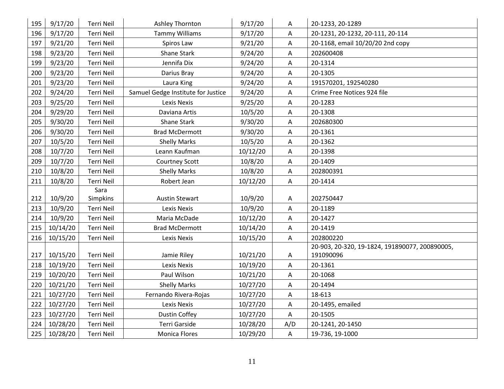| 195 | 9/17/20  | Terri Neil        | Ashley Thornton                    | 9/17/20  | Α           | 20-1233, 20-1289                               |
|-----|----------|-------------------|------------------------------------|----------|-------------|------------------------------------------------|
| 196 | 9/17/20  | Terri Neil        | <b>Tammy Williams</b>              | 9/17/20  | Α           | 20-1231, 20-1232, 20-111, 20-114               |
| 197 | 9/21/20  | Terri Neil        | Spiros Law                         | 9/21/20  | A           | 20-1168, email 10/20/20 2nd copy               |
| 198 | 9/23/20  | Terri Neil        | Shane Stark                        | 9/24/20  | Α           | 202600408                                      |
| 199 | 9/23/20  | <b>Terri Neil</b> | Jennifa Dix                        | 9/24/20  | A           | 20-1314                                        |
| 200 | 9/23/20  | <b>Terri Neil</b> | Darius Bray                        | 9/24/20  | $\mathsf A$ | 20-1305                                        |
| 201 | 9/23/20  | Terri Neil        | Laura King                         | 9/24/20  | Α           | 191570201, 192540280                           |
| 202 | 9/24/20  | Terri Neil        | Samuel Gedge Institute for Justice | 9/24/20  | $\mathsf A$ | Crime Free Notices 924 file                    |
| 203 | 9/25/20  | Terri Neil        | <b>Lexis Nexis</b>                 | 9/25/20  | Α           | 20-1283                                        |
| 204 | 9/29/20  | Terri Neil        | Daviana Artis                      | 10/5/20  | Α           | 20-1308                                        |
| 205 | 9/30/20  | Terri Neil        | <b>Shane Stark</b>                 | 9/30/20  | Α           | 202680300                                      |
| 206 | 9/30/20  | Terri Neil        | <b>Brad McDermott</b>              | 9/30/20  | A           | 20-1361                                        |
| 207 | 10/5/20  | Terri Neil        | <b>Shelly Marks</b>                | 10/5/20  | A           | 20-1362                                        |
| 208 | 10/7/20  | <b>Terri Neil</b> | Leann Kaufman                      | 10/12/20 | Α           | 20-1398                                        |
| 209 | 10/7/20  | <b>Terri Neil</b> | <b>Courtney Scott</b>              | 10/8/20  | A           | 20-1409                                        |
| 210 | 10/8/20  | Terri Neil        | <b>Shelly Marks</b>                | 10/8/20  | Α           | 202800391                                      |
| 211 | 10/8/20  | <b>Terri Neil</b> | Robert Jean                        | 10/12/20 | A           | 20-1414                                        |
|     |          | Sara              |                                    |          |             |                                                |
| 212 | 10/9/20  | Simpkins          | <b>Austin Stewart</b>              | 10/9/20  | Α           | 202750447                                      |
| 213 | 10/9/20  | Terri Neil        | Lexis Nexis                        | 10/9/20  | Α           | 20-1189                                        |
| 214 | 10/9/20  | Terri Neil        | Maria McDade                       | 10/12/20 | Α           | 20-1427                                        |
| 215 | 10/14/20 | Terri Neil        | <b>Brad McDermott</b>              | 10/14/20 | A           | 20-1419                                        |
| 216 | 10/15/20 | Terri Neil        | Lexis Nexis                        | 10/15/20 | Α           | 202800220                                      |
|     |          |                   |                                    |          |             | 20-903, 20-320, 19-1824, 191890077, 200890005, |
| 217 | 10/15/20 | Terri Neil        | Jamie Riley                        | 10/21/20 | A           | 191090096                                      |
| 218 | 10/19/20 | Terri Neil        | Lexis Nexis                        | 10/19/20 | A           | 20-1361                                        |
| 219 | 10/20/20 | Terri Neil        | Paul Wilson                        | 10/21/20 | Α           | 20-1068                                        |
| 220 | 10/21/20 | <b>Terri Neil</b> | <b>Shelly Marks</b>                | 10/27/20 | Α           | 20-1494                                        |
| 221 | 10/27/20 | Terri Neil        | Fernando Rivera-Rojas              | 10/27/20 | A           | 18-613                                         |
| 222 | 10/27/20 | Terri Neil        | Lexis Nexis                        | 10/27/20 | Α           | 20-1495, emailed                               |
| 223 | 10/27/20 | Terri Neil        | <b>Dustin Coffey</b>               | 10/27/20 | Α           | 20-1505                                        |
| 224 | 10/28/20 | Terri Neil        | Terri Garside                      | 10/28/20 | A/D         | 20-1241, 20-1450                               |
| 225 | 10/28/20 | Terri Neil        | <b>Monica Flores</b>               | 10/29/20 | $\mathsf A$ | 19-736, 19-1000                                |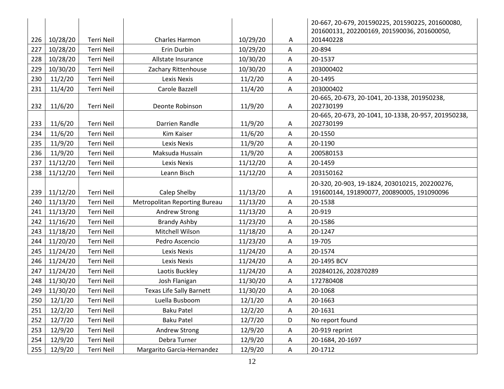|     |          |                   |                                      |          |   | 20-667, 20-679, 201590225, 201590225, 201600080,         |
|-----|----------|-------------------|--------------------------------------|----------|---|----------------------------------------------------------|
| 226 | 10/28/20 | Terri Neil        | Charles Harmon                       | 10/29/20 | A | 201600131, 202200169, 201590036, 201600050,<br>201440228 |
| 227 | 10/28/20 | <b>Terri Neil</b> | Erin Durbin                          | 10/29/20 | Α | 20-894                                                   |
| 228 | 10/28/20 | <b>Terri Neil</b> | Allstate Insurance                   | 10/30/20 | Α | 20-1537                                                  |
| 229 | 10/30/20 | Terri Neil        | Zachary Rittenhouse                  | 10/30/20 | Α | 203000402                                                |
| 230 | 11/2/20  | Terri Neil        | Lexis Nexis                          | 11/2/20  | A | 20-1495                                                  |
| 231 | 11/4/20  | Terri Neil        | Carole Bazzell                       | 11/4/20  | Α | 203000402                                                |
|     |          |                   |                                      |          |   | 20-665, 20-673, 20-1041, 20-1338, 201950238,             |
| 232 | 11/6/20  | Terri Neil        | Deonte Robinson                      | 11/9/20  | Α | 202730199                                                |
|     |          |                   |                                      |          |   | 20-665, 20-673, 20-1041, 10-1338, 20-957, 201950238,     |
| 233 | 11/6/20  | Terri Neil        | Darrien Randle                       | 11/9/20  | A | 202730199                                                |
| 234 | 11/6/20  | <b>Terri Neil</b> | Kim Kaiser                           | 11/6/20  | A | 20-1550                                                  |
| 235 | 11/9/20  | Terri Neil        | Lexis Nexis                          | 11/9/20  | Α | 20-1190                                                  |
| 236 | 11/9/20  | Terri Neil        | Maksuda Hussain                      | 11/9/20  | A | 200580153                                                |
| 237 | 11/12/20 | <b>Terri Neil</b> | Lexis Nexis                          | 11/12/20 | Α | 20-1459                                                  |
| 238 | 11/12/20 | Terri Neil        | Leann Bisch                          | 11/12/20 | Α | 203150162                                                |
|     |          |                   |                                      |          |   | 20-320, 20-903, 19-1824, 203010215, 202200276,           |
| 239 | 11/12/20 | Terri Neil        | Calep Shelby                         | 11/13/20 | A | 191600144, 191890077, 200890005, 191090096               |
| 240 | 11/13/20 | <b>Terri Neil</b> | <b>Metropolitan Reporting Bureau</b> | 11/13/20 | Α | 20-1538                                                  |
| 241 | 11/13/20 | <b>Terri Neil</b> | Andrew Strong                        | 11/13/20 | Α | 20-919                                                   |
| 242 | 11/16/20 | Terri Neil        | <b>Brandy Ashby</b>                  | 11/23/20 | A | 20-1586                                                  |
| 243 | 11/18/20 | Terri Neil        | Mitchell Wilson                      | 11/18/20 | Α | 20-1247                                                  |
| 244 | 11/20/20 | Terri Neil        | Pedro Ascencio                       | 11/23/20 | Α | 19-705                                                   |
| 245 | 11/24/20 | <b>Terri Neil</b> | Lexis Nexis                          | 11/24/20 | Α | 20-1574                                                  |
| 246 | 11/24/20 | <b>Terri Neil</b> | Lexis Nexis                          | 11/24/20 | A | 20-1495 BCV                                              |
| 247 | 11/24/20 | Terri Neil        | Laotis Buckley                       | 11/24/20 | A | 202840126, 202870289                                     |
| 248 | 11/30/20 | Terri Neil        | Josh Flanigan                        | 11/30/20 | Α | 172780408                                                |
| 249 | 11/30/20 | Terri Neil        | <b>Texas Life Sally Barnett</b>      | 11/30/20 | A | 20-1068                                                  |
| 250 | 12/1/20  | Terri Neil        | Luella Busboom                       | 12/1/20  | Α | 20-1663                                                  |
| 251 | 12/2/20  | Terri Neil        | <b>Baku Patel</b>                    | 12/2/20  | Α | 20-1631                                                  |
| 252 | 12/7/20  | Terri Neil        | <b>Baku Patel</b>                    | 12/7/20  | D | No report found                                          |
| 253 | 12/9/20  | Terri Neil        | Andrew Strong                        | 12/9/20  | Α | 20-919 reprint                                           |
| 254 | 12/9/20  | Terri Neil        | Debra Turner                         | 12/9/20  | Α | 20-1684, 20-1697                                         |
| 255 | 12/9/20  | Terri Neil        | Margarito Garcia-Hernandez           | 12/9/20  | Α | 20-1712                                                  |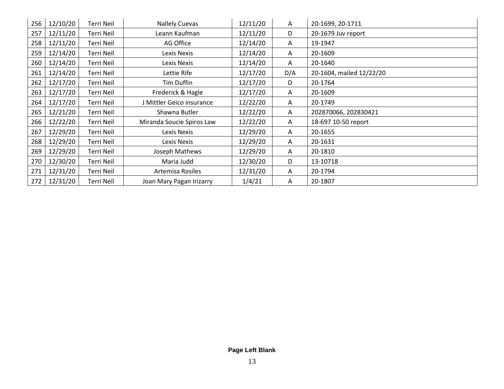| 256 | 12/10/20 | Terri Neil | <b>Nallely Cuevas</b>     | 12/11/20 | A   | 20-1699, 20-1711         |
|-----|----------|------------|---------------------------|----------|-----|--------------------------|
| 257 | 12/11/20 | Terri Neil | Leann Kaufman             | 12/11/20 | D   | 20-1679 Juv report       |
| 258 | 12/11/20 | Terri Neil | AG Office                 | 12/14/20 | A   | 19-1947                  |
| 259 | 12/14/20 | Terri Neil | Lexis Nexis               | 12/14/20 | A   | 20-1609                  |
| 260 | 12/14/20 | Terri Neil | Lexis Nexis               | 12/14/20 | A   | 20-1640                  |
| 261 | 12/14/20 | Terri Neil | Lettie Rife               | 12/17/20 | D/A | 20-1604, mailed 12/22/20 |
| 262 | 12/17/20 | Terri Neil | Tim Duffin                | 12/17/20 | D   | 20-1764                  |
| 263 | 12/17/20 | Terri Neil | Frederick & Hagle         | 12/17/20 | A   | 20-1609                  |
| 264 | 12/17/20 | Terri Neil | J Mittler Geico insurance | 12/22/20 | A   | 20-1749                  |
| 265 | 12/21/20 | Terri Neil | Shawna Butler             | 12/22/20 | A   | 202870066, 202830421     |
| 266 | 12/22/20 | Terri Neil | Miranda Soucie Spiros Law | 12/22/20 | A   | 18-697 10-50 report      |
| 267 | 12/29/20 | Terri Neil | Lexis Nexis               | 12/29/20 | A   | 20-1655                  |
| 268 | 12/29/20 | Terri Neil | Lexis Nexis               | 12/29/20 | A   | 20-1631                  |
| 269 | 12/29/20 | Terri Neil | Joseph Mathews            | 12/29/20 | A   | 20-1810                  |
| 270 | 12/30/20 | Terri Neil | Maria Judd                | 12/30/20 | D   | 13-10718                 |
| 271 | 12/31/20 | Terri Neil | Artemisa Rosiles          | 12/31/20 | A   | 20-1794                  |
| 272 | 12/31/20 | Terri Neil | Joan Mary Pagan Irizarry  | 1/4/21   | A   | 20-1807                  |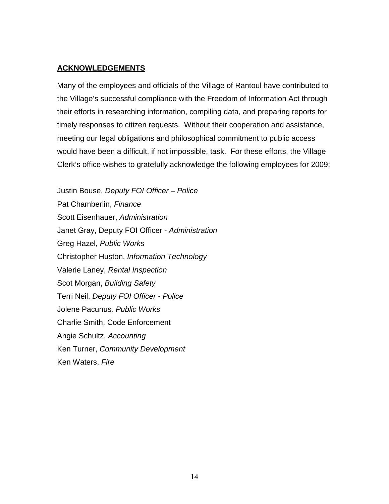#### **ACKNOWLEDGEMENTS**

Many of the employees and officials of the Village of Rantoul have contributed to the Village's successful compliance with the Freedom of Information Act through their efforts in researching information, compiling data, and preparing reports for timely responses to citizen requests. Without their cooperation and assistance, meeting our legal obligations and philosophical commitment to public access would have been a difficult, if not impossible, task. For these efforts, the Village Clerk's office wishes to gratefully acknowledge the following employees for 2009:

Justin Bouse, *Deputy FOI Officer – Police* Pat Chamberlin, *Finance* Scott Eisenhauer, *Administration* Janet Gray, Deputy FOI Officer - *Administration* Greg Hazel, *Public Works* Christopher Huston, *Information Technology* Valerie Laney, *Rental Inspection* Scot Morgan, *Building Safety* Terri Neil, *Deputy FOI Officer - Police* Jolene Pacunus*, Public Works* Charlie Smith, Code Enforcement Angie Schultz, *Accounting* Ken Turner, *Community Development* Ken Waters, *Fire*